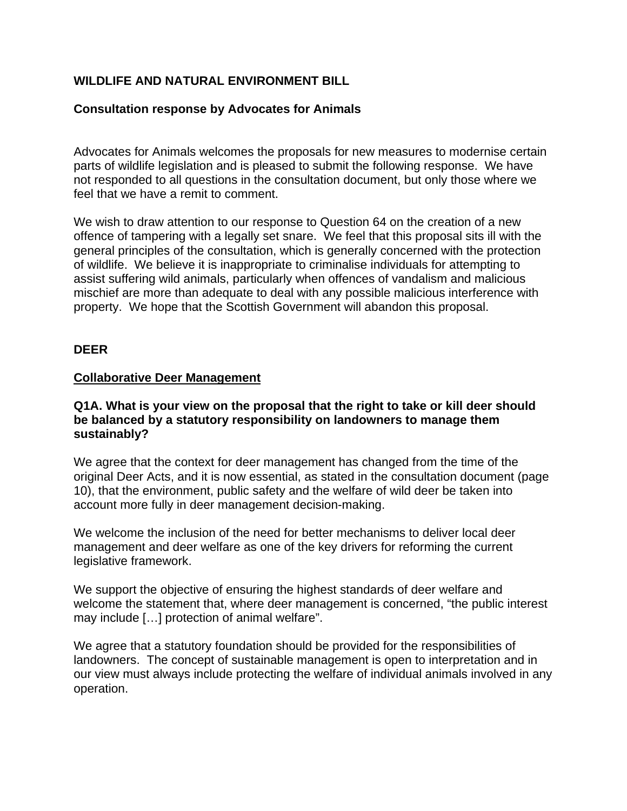# **WILDLIFE AND NATURAL ENVIRONMENT BILL**

# **Consultation response by Advocates for Animals**

Advocates for Animals welcomes the proposals for new measures to modernise certain parts of wildlife legislation and is pleased to submit the following response. We have not responded to all questions in the consultation document, but only those where we feel that we have a remit to comment.

We wish to draw attention to our response to Question 64 on the creation of a new offence of tampering with a legally set snare. We feel that this proposal sits ill with the general principles of the consultation, which is generally concerned with the protection of wildlife. We believe it is inappropriate to criminalise individuals for attempting to assist suffering wild animals, particularly when offences of vandalism and malicious mischief are more than adequate to deal with any possible malicious interference with property. We hope that the Scottish Government will abandon this proposal.

# **DEER**

#### **Collaborative Deer Management**

#### **Q1A. What is your view on the proposal that the right to take or kill deer should be balanced by a statutory responsibility on landowners to manage them sustainably?**

We agree that the context for deer management has changed from the time of the original Deer Acts, and it is now essential, as stated in the consultation document (page 10), that the environment, public safety and the welfare of wild deer be taken into account more fully in deer management decision-making.

We welcome the inclusion of the need for better mechanisms to deliver local deer management and deer welfare as one of the key drivers for reforming the current legislative framework.

We support the objective of ensuring the highest standards of deer welfare and welcome the statement that, where deer management is concerned, "the public interest may include […] protection of animal welfare".

We agree that a statutory foundation should be provided for the responsibilities of landowners. The concept of sustainable management is open to interpretation and in our view must always include protecting the welfare of individual animals involved in any operation.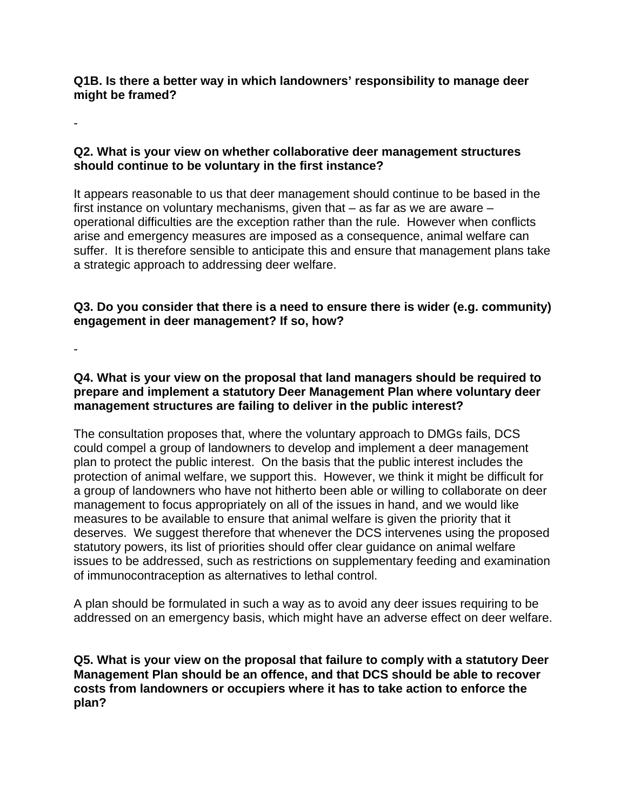**Q1B. Is there a better way in which landowners' responsibility to manage deer might be framed?**

#### **Q2. What is your view on whether collaborative deer management structures should continue to be voluntary in the first instance?**

It appears reasonable to us that deer management should continue to be based in the first instance on voluntary mechanisms, given that – as far as we are aware – operational difficulties are the exception rather than the rule. However when conflicts arise and emergency measures are imposed as a consequence, animal welfare can suffer. It is therefore sensible to anticipate this and ensure that management plans take a strategic approach to addressing deer welfare.

# **Q3. Do you consider that there is a need to ensure there is wider (e.g. community) engagement in deer management? If so, how?**

-

-

# **Q4. What is your view on the proposal that land managers should be required to prepare and implement a statutory Deer Management Plan where voluntary deer management structures are failing to deliver in the public interest?**

The consultation proposes that, where the voluntary approach to DMGs fails, DCS could compel a group of landowners to develop and implement a deer management plan to protect the public interest. On the basis that the public interest includes the protection of animal welfare, we support this. However, we think it might be difficult for a group of landowners who have not hitherto been able or willing to collaborate on deer management to focus appropriately on all of the issues in hand, and we would like measures to be available to ensure that animal welfare is given the priority that it deserves. We suggest therefore that whenever the DCS intervenes using the proposed statutory powers, its list of priorities should offer clear guidance on animal welfare issues to be addressed, such as restrictions on supplementary feeding and examination of immunocontraception as alternatives to lethal control.

A plan should be formulated in such a way as to avoid any deer issues requiring to be addressed on an emergency basis, which might have an adverse effect on deer welfare.

**Q5. What is your view on the proposal that failure to comply with a statutory Deer Management Plan should be an offence, and that DCS should be able to recover costs from landowners or occupiers where it has to take action to enforce the plan?**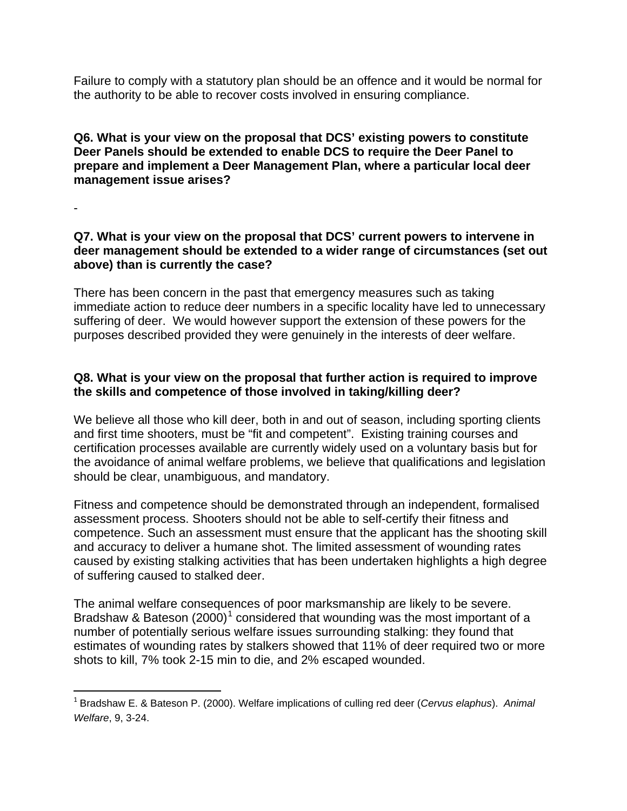Failure to comply with a statutory plan should be an offence and it would be normal for the authority to be able to recover costs involved in ensuring compliance.

# **Q6. What is your view on the proposal that DCS' existing powers to constitute Deer Panels should be extended to enable DCS to require the Deer Panel to prepare and implement a Deer Management Plan, where a particular local deer management issue arises?**

-

# **Q7. What is your view on the proposal that DCS' current powers to intervene in deer management should be extended to a wider range of circumstances (set out above) than is currently the case?**

There has been concern in the past that emergency measures such as taking immediate action to reduce deer numbers in a specific locality have led to unnecessary suffering of deer. We would however support the extension of these powers for the purposes described provided they were genuinely in the interests of deer welfare.

# **Q8. What is your view on the proposal that further action is required to improve the skills and competence of those involved in taking/killing deer?**

We believe all those who kill deer, both in and out of season, including sporting clients and first time shooters, must be "fit and competent". Existing training courses and certification processes available are currently widely used on a voluntary basis but for the avoidance of animal welfare problems, we believe that qualifications and legislation should be clear, unambiguous, and mandatory.

Fitness and competence should be demonstrated through an independent, formalised assessment process. Shooters should not be able to self-certify their fitness and competence. Such an assessment must ensure that the applicant has the shooting skill and accuracy to deliver a humane shot. The limited assessment of wounding rates caused by existing stalking activities that has been undertaken highlights a high degree of suffering caused to stalked deer.

The animal welfare consequences of poor marksmanship are likely to be severe. Bradshaw & Bateson  $(2000)^1$  $(2000)^1$  considered that wounding was the most important of a number of potentially serious welfare issues surrounding stalking: they found that estimates of wounding rates by stalkers showed that 11% of deer required two or more shots to kill, 7% took 2-15 min to die, and 2% escaped wounded.

<span id="page-2-0"></span> <sup>1</sup> Bradshaw E. & Bateson P. (2000). Welfare implications of culling red deer (*Cervus elaphus*). *Animal Welfare*, 9, 3-24.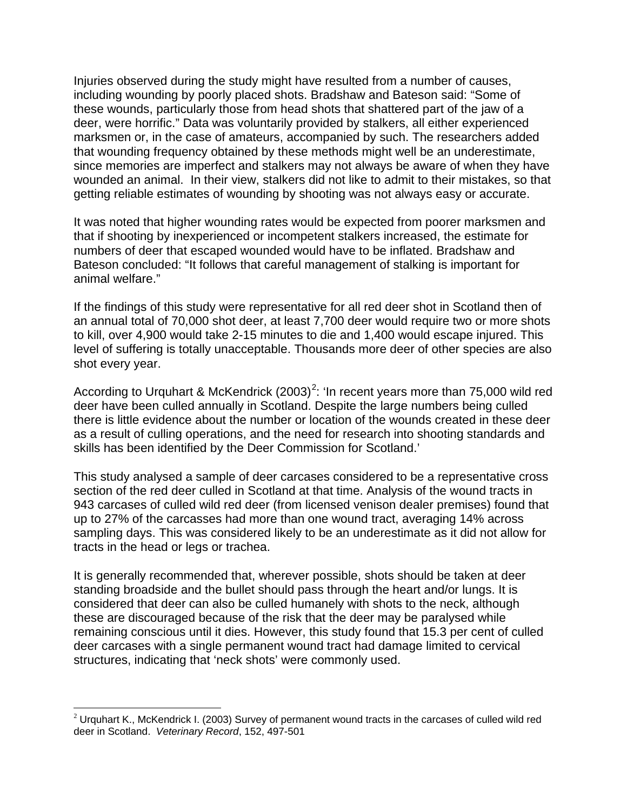Injuries observed during the study might have resulted from a number of causes, including wounding by poorly placed shots. Bradshaw and Bateson said: "Some of these wounds, particularly those from head shots that shattered part of the jaw of a deer, were horrific." Data was voluntarily provided by stalkers, all either experienced marksmen or, in the case of amateurs, accompanied by such. The researchers added that wounding frequency obtained by these methods might well be an underestimate, since memories are imperfect and stalkers may not always be aware of when they have wounded an animal. In their view, stalkers did not like to admit to their mistakes, so that getting reliable estimates of wounding by shooting was not always easy or accurate.

It was noted that higher wounding rates would be expected from poorer marksmen and that if shooting by inexperienced or incompetent stalkers increased, the estimate for numbers of deer that escaped wounded would have to be inflated. Bradshaw and Bateson concluded: "It follows that careful management of stalking is important for animal welfare."

If the findings of this study were representative for all red deer shot in Scotland then of an annual total of 70,000 shot deer, at least 7,700 deer would require two or more shots to kill, over 4,900 would take 2-15 minutes to die and 1,400 would escape injured. This level of suffering is totally unacceptable. Thousands more deer of other species are also shot every year.

According to Urquhart & McKendrick ([2](#page-3-0)003)<sup>2</sup>: 'In recent years more than 75,000 wild red deer have been culled annually in Scotland. Despite the large numbers being culled there is little evidence about the number or location of the wounds created in these deer as a result of culling operations, and the need for research into shooting standards and skills has been identified by the Deer Commission for Scotland.'

This study analysed a sample of deer carcases considered to be a representative cross section of the red deer culled in Scotland at that time. Analysis of the wound tracts in 943 carcases of culled wild red deer (from licensed venison dealer premises) found that up to 27% of the carcasses had more than one wound tract, averaging 14% across sampling days. This was considered likely to be an underestimate as it did not allow for tracts in the head or legs or trachea.

It is generally recommended that, wherever possible, shots should be taken at deer standing broadside and the bullet should pass through the heart and/or lungs. It is considered that deer can also be culled humanely with shots to the neck, although these are discouraged because of the risk that the deer may be paralysed while remaining conscious until it dies. However, this study found that 15.3 per cent of culled deer carcases with a single permanent wound tract had damage limited to cervical structures, indicating that 'neck shots' were commonly used.

 $\overline{\phantom{0}}$ 

<span id="page-3-0"></span> $2$  Urquhart K., McKendrick I. (2003) Survey of permanent wound tracts in the carcases of culled wild red deer in Scotland. *Veterinary Record*, 152, 497-501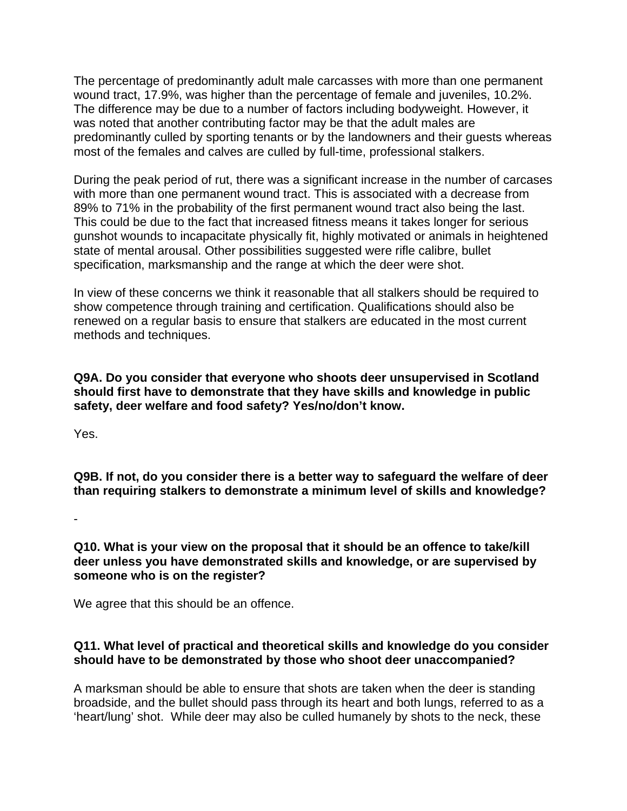The percentage of predominantly adult male carcasses with more than one permanent wound tract, 17.9%, was higher than the percentage of female and juveniles, 10.2%. The difference may be due to a number of factors including bodyweight. However, it was noted that another contributing factor may be that the adult males are predominantly culled by sporting tenants or by the landowners and their guests whereas most of the females and calves are culled by full-time, professional stalkers.

During the peak period of rut, there was a significant increase in the number of carcases with more than one permanent wound tract. This is associated with a decrease from 89% to 71% in the probability of the first permanent wound tract also being the last. This could be due to the fact that increased fitness means it takes longer for serious gunshot wounds to incapacitate physically fit, highly motivated or animals in heightened state of mental arousal. Other possibilities suggested were rifle calibre, bullet specification, marksmanship and the range at which the deer were shot.

In view of these concerns we think it reasonable that all stalkers should be required to show competence through training and certification. Qualifications should also be renewed on a regular basis to ensure that stalkers are educated in the most current methods and techniques.

**Q9A. Do you consider that everyone who shoots deer unsupervised in Scotland should first have to demonstrate that they have skills and knowledge in public safety, deer welfare and food safety? Yes/no/don't know.**

Yes.

**Q9B. If not, do you consider there is a better way to safeguard the welfare of deer than requiring stalkers to demonstrate a minimum level of skills and knowledge?**

-

### **Q10. What is your view on the proposal that it should be an offence to take/kill deer unless you have demonstrated skills and knowledge, or are supervised by someone who is on the register?**

We agree that this should be an offence.

# **Q11. What level of practical and theoretical skills and knowledge do you consider should have to be demonstrated by those who shoot deer unaccompanied?**

A marksman should be able to ensure that shots are taken when the deer is standing broadside, and the bullet should pass through its heart and both lungs, referred to as a 'heart/lung' shot. While deer may also be culled humanely by shots to the neck, these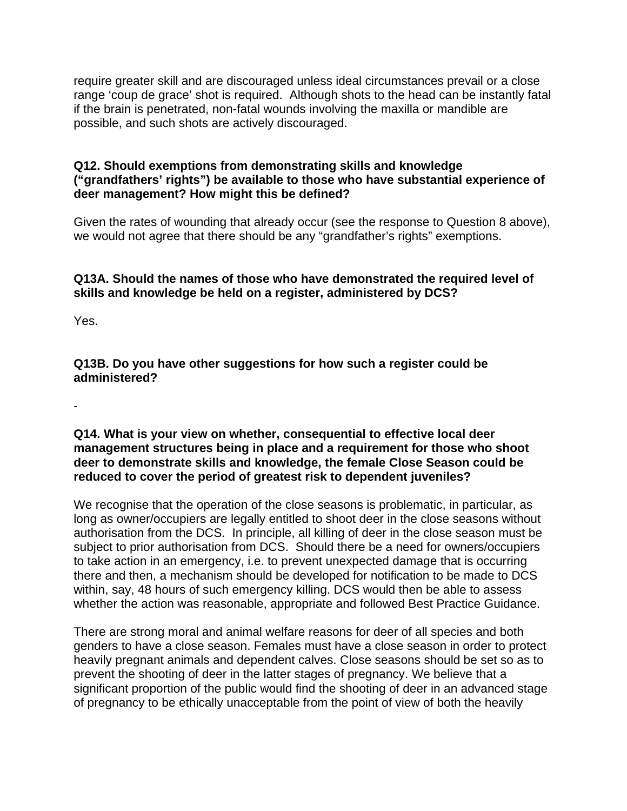require greater skill and are discouraged unless ideal circumstances prevail or a close range 'coup de grace' shot is required. Although shots to the head can be instantly fatal if the brain is penetrated, non-fatal wounds involving the maxilla or mandible are possible, and such shots are actively discouraged.

# **Q12. Should exemptions from demonstrating skills and knowledge ("grandfathers' rights") be available to those who have substantial experience of deer management? How might this be defined?**

Given the rates of wounding that already occur (see the response to Question 8 above), we would not agree that there should be any "grandfather's rights" exemptions.

# **Q13A. Should the names of those who have demonstrated the required level of skills and knowledge be held on a register, administered by DCS?**

Yes.

**Q13B. Do you have other suggestions for how such a register could be administered?**

-

### **Q14. What is your view on whether, consequential to effective local deer management structures being in place and a requirement for those who shoot deer to demonstrate skills and knowledge, the female Close Season could be reduced to cover the period of greatest risk to dependent juveniles?**

We recognise that the operation of the close seasons is problematic, in particular, as long as owner/occupiers are legally entitled to shoot deer in the close seasons without authorisation from the DCS. In principle, all killing of deer in the close season must be subject to prior authorisation from DCS. Should there be a need for owners/occupiers to take action in an emergency, i.e. to prevent unexpected damage that is occurring there and then, a mechanism should be developed for notification to be made to DCS within, say, 48 hours of such emergency killing. DCS would then be able to assess whether the action was reasonable, appropriate and followed Best Practice Guidance.

There are strong moral and animal welfare reasons for deer of all species and both genders to have a close season. Females must have a close season in order to protect heavily pregnant animals and dependent calves. Close seasons should be set so as to prevent the shooting of deer in the latter stages of pregnancy. We believe that a significant proportion of the public would find the shooting of deer in an advanced stage of pregnancy to be ethically unacceptable from the point of view of both the heavily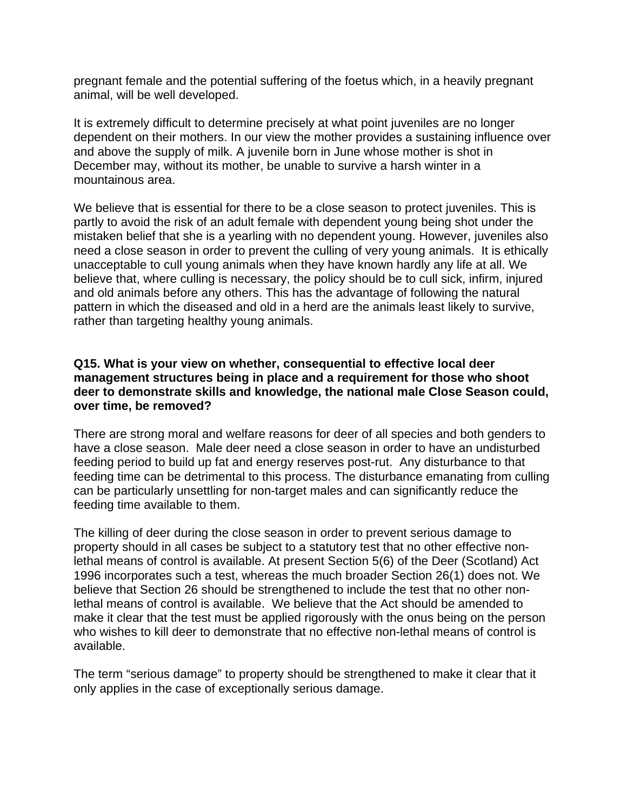pregnant female and the potential suffering of the foetus which, in a heavily pregnant animal, will be well developed.

It is extremely difficult to determine precisely at what point juveniles are no longer dependent on their mothers. In our view the mother provides a sustaining influence over and above the supply of milk. A juvenile born in June whose mother is shot in December may, without its mother, be unable to survive a harsh winter in a mountainous area.

We believe that is essential for there to be a close season to protect juveniles. This is partly to avoid the risk of an adult female with dependent young being shot under the mistaken belief that she is a yearling with no dependent young. However, juveniles also need a close season in order to prevent the culling of very young animals. It is ethically unacceptable to cull young animals when they have known hardly any life at all. We believe that, where culling is necessary, the policy should be to cull sick, infirm, injured and old animals before any others. This has the advantage of following the natural pattern in which the diseased and old in a herd are the animals least likely to survive, rather than targeting healthy young animals.

### **Q15. What is your view on whether, consequential to effective local deer management structures being in place and a requirement for those who shoot deer to demonstrate skills and knowledge, the national male Close Season could, over time, be removed?**

There are strong moral and welfare reasons for deer of all species and both genders to have a close season. Male deer need a close season in order to have an undisturbed feeding period to build up fat and energy reserves post-rut. Any disturbance to that feeding time can be detrimental to this process. The disturbance emanating from culling can be particularly unsettling for non-target males and can significantly reduce the feeding time available to them.

The killing of deer during the close season in order to prevent serious damage to property should in all cases be subject to a statutory test that no other effective nonlethal means of control is available. At present Section 5(6) of the Deer (Scotland) Act 1996 incorporates such a test, whereas the much broader Section 26(1) does not. We believe that Section 26 should be strengthened to include the test that no other nonlethal means of control is available. We believe that the Act should be amended to make it clear that the test must be applied rigorously with the onus being on the person who wishes to kill deer to demonstrate that no effective non-lethal means of control is available.

The term "serious damage" to property should be strengthened to make it clear that it only applies in the case of exceptionally serious damage.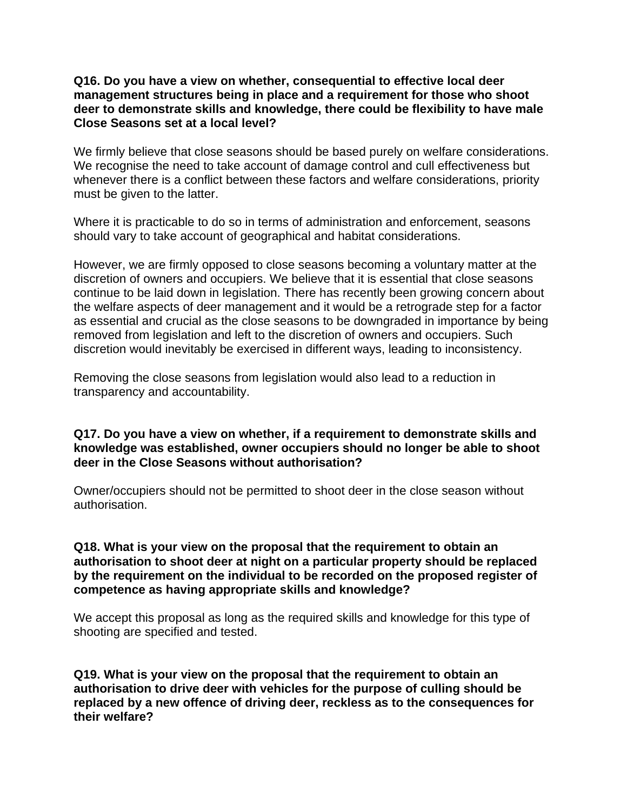#### **Q16. Do you have a view on whether, consequential to effective local deer management structures being in place and a requirement for those who shoot deer to demonstrate skills and knowledge, there could be flexibility to have male Close Seasons set at a local level?**

We firmly believe that close seasons should be based purely on welfare considerations. We recognise the need to take account of damage control and cull effectiveness but whenever there is a conflict between these factors and welfare considerations, priority must be given to the latter.

Where it is practicable to do so in terms of administration and enforcement, seasons should vary to take account of geographical and habitat considerations.

However, we are firmly opposed to close seasons becoming a voluntary matter at the discretion of owners and occupiers. We believe that it is essential that close seasons continue to be laid down in legislation. There has recently been growing concern about the welfare aspects of deer management and it would be a retrograde step for a factor as essential and crucial as the close seasons to be downgraded in importance by being removed from legislation and left to the discretion of owners and occupiers. Such discretion would inevitably be exercised in different ways, leading to inconsistency.

Removing the close seasons from legislation would also lead to a reduction in transparency and accountability.

### **Q17. Do you have a view on whether, if a requirement to demonstrate skills and knowledge was established, owner occupiers should no longer be able to shoot deer in the Close Seasons without authorisation?**

Owner/occupiers should not be permitted to shoot deer in the close season without authorisation.

### **Q18. What is your view on the proposal that the requirement to obtain an authorisation to shoot deer at night on a particular property should be replaced by the requirement on the individual to be recorded on the proposed register of competence as having appropriate skills and knowledge?**

We accept this proposal as long as the required skills and knowledge for this type of shooting are specified and tested.

**Q19. What is your view on the proposal that the requirement to obtain an authorisation to drive deer with vehicles for the purpose of culling should be replaced by a new offence of driving deer, reckless as to the consequences for their welfare?**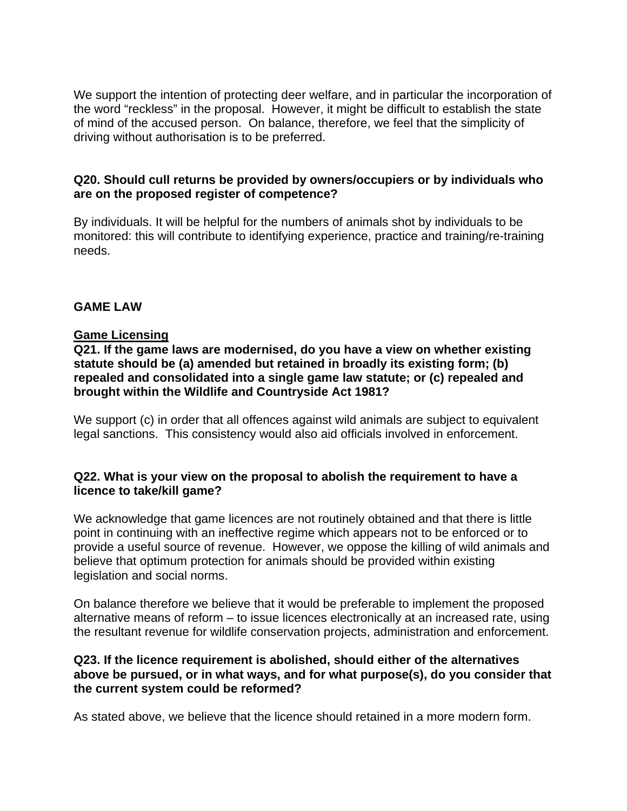We support the intention of protecting deer welfare, and in particular the incorporation of the word "reckless" in the proposal. However, it might be difficult to establish the state of mind of the accused person. On balance, therefore, we feel that the simplicity of driving without authorisation is to be preferred.

# **Q20. Should cull returns be provided by owners/occupiers or by individuals who are on the proposed register of competence?**

By individuals. It will be helpful for the numbers of animals shot by individuals to be monitored: this will contribute to identifying experience, practice and training/re-training needs.

# **GAME LAW**

# **Game Licensing**

# **Q21. If the game laws are modernised, do you have a view on whether existing statute should be (a) amended but retained in broadly its existing form; (b) repealed and consolidated into a single game law statute; or (c) repealed and brought within the Wildlife and Countryside Act 1981?**

We support (c) in order that all offences against wild animals are subject to equivalent legal sanctions. This consistency would also aid officials involved in enforcement.

# **Q22. What is your view on the proposal to abolish the requirement to have a licence to take/kill game?**

We acknowledge that game licences are not routinely obtained and that there is little point in continuing with an ineffective regime which appears not to be enforced or to provide a useful source of revenue. However, we oppose the killing of wild animals and believe that optimum protection for animals should be provided within existing legislation and social norms.

On balance therefore we believe that it would be preferable to implement the proposed alternative means of reform – to issue licences electronically at an increased rate, using the resultant revenue for wildlife conservation projects, administration and enforcement.

# **Q23. If the licence requirement is abolished, should either of the alternatives above be pursued, or in what ways, and for what purpose(s), do you consider that the current system could be reformed?**

As stated above, we believe that the licence should retained in a more modern form.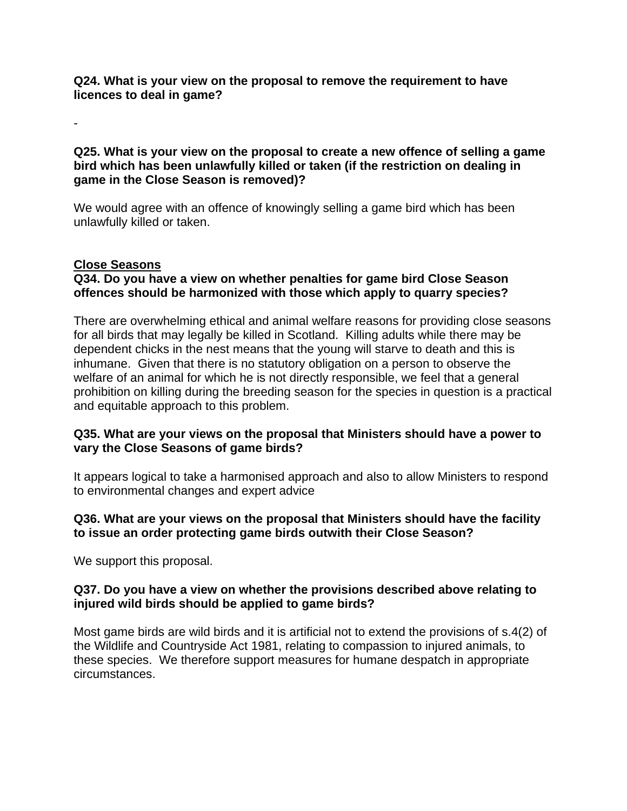**Q24. What is your view on the proposal to remove the requirement to have licences to deal in game?**

**Q25. What is your view on the proposal to create a new offence of selling a game bird which has been unlawfully killed or taken (if the restriction on dealing in game in the Close Season is removed)?**

We would agree with an offence of knowingly selling a game bird which has been unlawfully killed or taken.

# **Close Seasons**

-

# **Q34. Do you have a view on whether penalties for game bird Close Season offences should be harmonized with those which apply to quarry species?**

There are overwhelming ethical and animal welfare reasons for providing close seasons for all birds that may legally be killed in Scotland. Killing adults while there may be dependent chicks in the nest means that the young will starve to death and this is inhumane. Given that there is no statutory obligation on a person to observe the welfare of an animal for which he is not directly responsible, we feel that a general prohibition on killing during the breeding season for the species in question is a practical and equitable approach to this problem.

# **Q35. What are your views on the proposal that Ministers should have a power to vary the Close Seasons of game birds?**

It appears logical to take a harmonised approach and also to allow Ministers to respond to environmental changes and expert advice

# **Q36. What are your views on the proposal that Ministers should have the facility to issue an order protecting game birds outwith their Close Season?**

We support this proposal.

# **Q37. Do you have a view on whether the provisions described above relating to injured wild birds should be applied to game birds?**

Most game birds are wild birds and it is artificial not to extend the provisions of s.4(2) of the Wildlife and Countryside Act 1981, relating to compassion to injured animals, to these species. We therefore support measures for humane despatch in appropriate circumstances.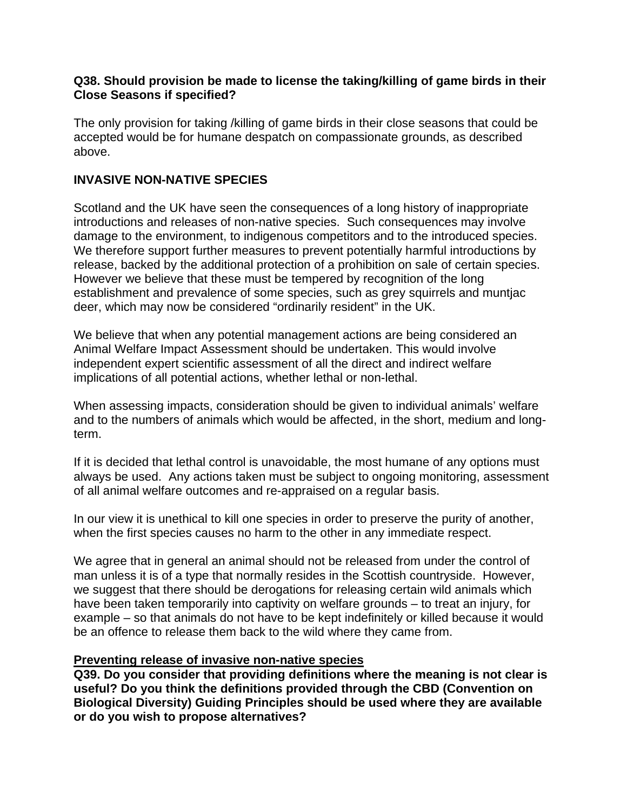#### **Q38. Should provision be made to license the taking/killing of game birds in their Close Seasons if specified?**

The only provision for taking /killing of game birds in their close seasons that could be accepted would be for humane despatch on compassionate grounds, as described above.

# **INVASIVE NON-NATIVE SPECIES**

Scotland and the UK have seen the consequences of a long history of inappropriate introductions and releases of non-native species. Such consequences may involve damage to the environment, to indigenous competitors and to the introduced species. We therefore support further measures to prevent potentially harmful introductions by release, backed by the additional protection of a prohibition on sale of certain species. However we believe that these must be tempered by recognition of the long establishment and prevalence of some species, such as grey squirrels and muntjac deer, which may now be considered "ordinarily resident" in the UK.

We believe that when any potential management actions are being considered an Animal Welfare Impact Assessment should be undertaken. This would involve independent expert scientific assessment of all the direct and indirect welfare implications of all potential actions, whether lethal or non-lethal.

When assessing impacts, consideration should be given to individual animals' welfare and to the numbers of animals which would be affected, in the short, medium and longterm.

If it is decided that lethal control is unavoidable, the most humane of any options must always be used. Any actions taken must be subject to ongoing monitoring, assessment of all animal welfare outcomes and re-appraised on a regular basis.

In our view it is unethical to kill one species in order to preserve the purity of another, when the first species causes no harm to the other in any immediate respect.

We agree that in general an animal should not be released from under the control of man unless it is of a type that normally resides in the Scottish countryside. However, we suggest that there should be derogations for releasing certain wild animals which have been taken temporarily into captivity on welfare grounds – to treat an injury, for example – so that animals do not have to be kept indefinitely or killed because it would be an offence to release them back to the wild where they came from.

# **Preventing release of invasive non-native species**

**Q39. Do you consider that providing definitions where the meaning is not clear is useful? Do you think the definitions provided through the CBD (Convention on Biological Diversity) Guiding Principles should be used where they are available or do you wish to propose alternatives?**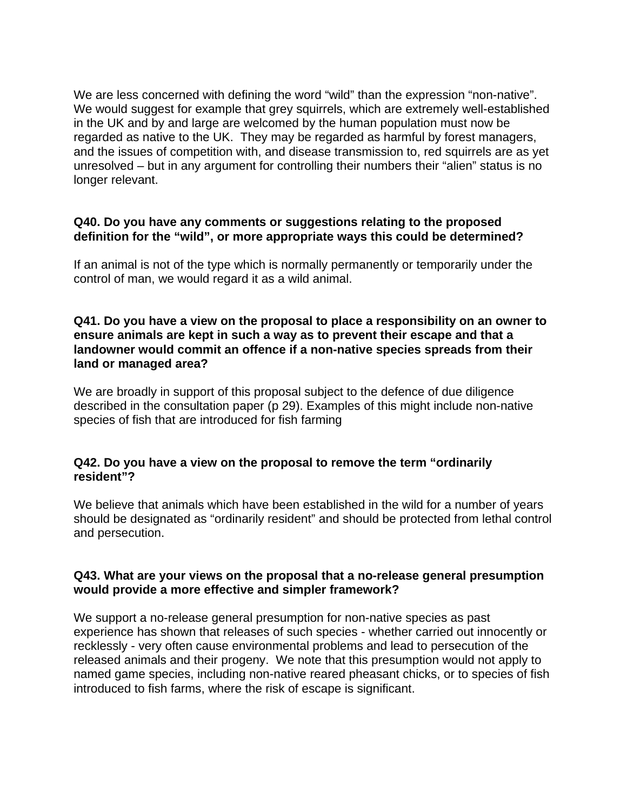We are less concerned with defining the word "wild" than the expression "non-native". We would suggest for example that grey squirrels, which are extremely well-established in the UK and by and large are welcomed by the human population must now be regarded as native to the UK. They may be regarded as harmful by forest managers, and the issues of competition with, and disease transmission to, red squirrels are as yet unresolved – but in any argument for controlling their numbers their "alien" status is no longer relevant.

#### **Q40. Do you have any comments or suggestions relating to the proposed definition for the "wild", or more appropriate ways this could be determined?**

If an animal is not of the type which is normally permanently or temporarily under the control of man, we would regard it as a wild animal.

#### **Q41. Do you have a view on the proposal to place a responsibility on an owner to ensure animals are kept in such a way as to prevent their escape and that a landowner would commit an offence if a non-native species spreads from their land or managed area?**

We are broadly in support of this proposal subject to the defence of due diligence described in the consultation paper (p 29). Examples of this might include non-native species of fish that are introduced for fish farming

# **Q42. Do you have a view on the proposal to remove the term "ordinarily resident"?**

We believe that animals which have been established in the wild for a number of years should be designated as "ordinarily resident" and should be protected from lethal control and persecution.

#### **Q43. What are your views on the proposal that a no-release general presumption would provide a more effective and simpler framework?**

We support a no-release general presumption for non-native species as past experience has shown that releases of such species - whether carried out innocently or recklessly - very often cause environmental problems and lead to persecution of the released animals and their progeny. We note that this presumption would not apply to named game species, including non-native reared pheasant chicks, or to species of fish introduced to fish farms, where the risk of escape is significant.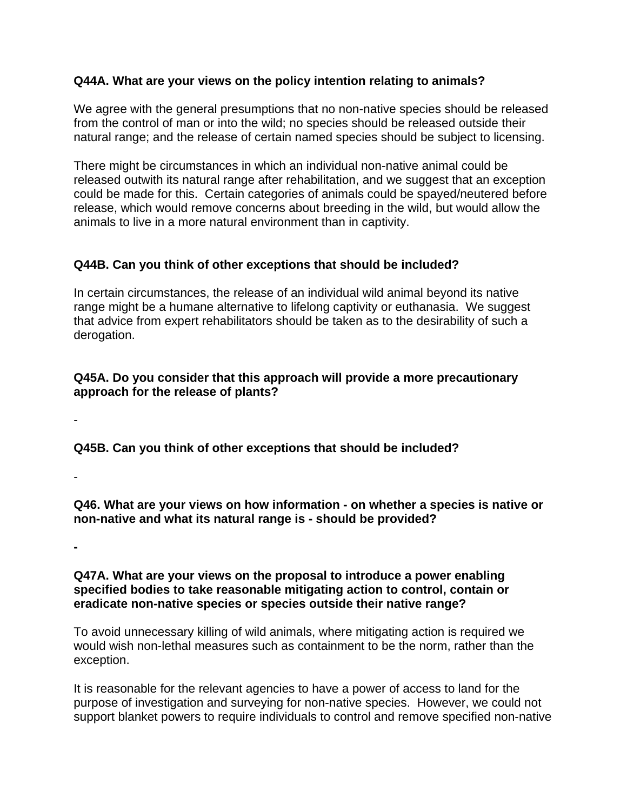# **Q44A. What are your views on the policy intention relating to animals?**

We agree with the general presumptions that no non-native species should be released from the control of man or into the wild; no species should be released outside their natural range; and the release of certain named species should be subject to licensing.

There might be circumstances in which an individual non-native animal could be released outwith its natural range after rehabilitation, and we suggest that an exception could be made for this. Certain categories of animals could be spayed/neutered before release, which would remove concerns about breeding in the wild, but would allow the animals to live in a more natural environment than in captivity.

# **Q44B. Can you think of other exceptions that should be included?**

In certain circumstances, the release of an individual wild animal beyond its native range might be a humane alternative to lifelong captivity or euthanasia. We suggest that advice from expert rehabilitators should be taken as to the desirability of such a derogation.

# **Q45A. Do you consider that this approach will provide a more precautionary approach for the release of plants?**

**Q45B. Can you think of other exceptions that should be included?**

-

-

**Q46. What are your views on how information - on whether a species is native or non-native and what its natural range is - should be provided?**

**-**

# **Q47A. What are your views on the proposal to introduce a power enabling specified bodies to take reasonable mitigating action to control, contain or eradicate non-native species or species outside their native range?**

To avoid unnecessary killing of wild animals, where mitigating action is required we would wish non-lethal measures such as containment to be the norm, rather than the exception.

It is reasonable for the relevant agencies to have a power of access to land for the purpose of investigation and surveying for non-native species. However, we could not support blanket powers to require individuals to control and remove specified non-native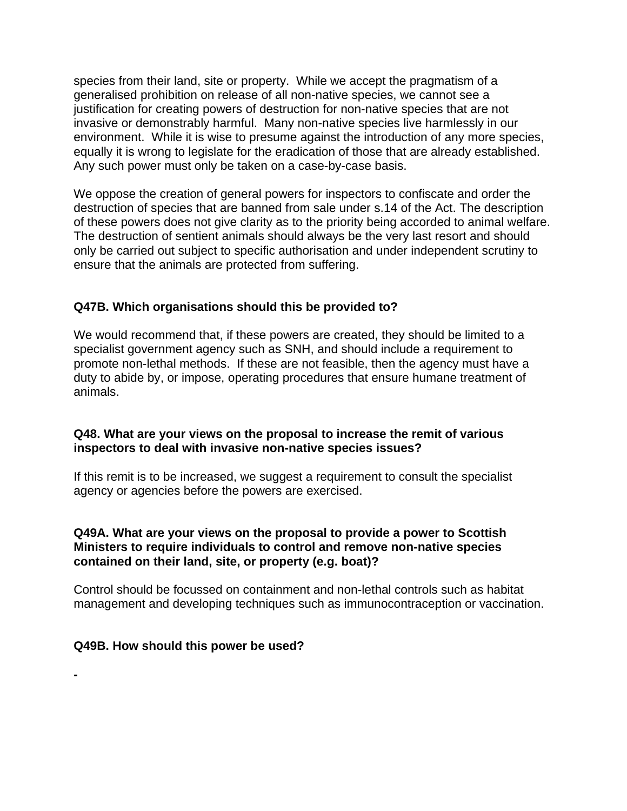species from their land, site or property. While we accept the pragmatism of a generalised prohibition on release of all non-native species, we cannot see a justification for creating powers of destruction for non-native species that are not invasive or demonstrably harmful. Many non-native species live harmlessly in our environment. While it is wise to presume against the introduction of any more species, equally it is wrong to legislate for the eradication of those that are already established. Any such power must only be taken on a case-by-case basis.

We oppose the creation of general powers for inspectors to confiscate and order the destruction of species that are banned from sale under s.14 of the Act. The description of these powers does not give clarity as to the priority being accorded to animal welfare. The destruction of sentient animals should always be the very last resort and should only be carried out subject to specific authorisation and under independent scrutiny to ensure that the animals are protected from suffering.

# **Q47B. Which organisations should this be provided to?**

We would recommend that, if these powers are created, they should be limited to a specialist government agency such as SNH, and should include a requirement to promote non-lethal methods. If these are not feasible, then the agency must have a duty to abide by, or impose, operating procedures that ensure humane treatment of animals.

# **Q48. What are your views on the proposal to increase the remit of various inspectors to deal with invasive non-native species issues?**

If this remit is to be increased, we suggest a requirement to consult the specialist agency or agencies before the powers are exercised.

# **Q49A. What are your views on the proposal to provide a power to Scottish Ministers to require individuals to control and remove non-native species contained on their land, site, or property (e.g. boat)?**

Control should be focussed on containment and non-lethal controls such as habitat management and developing techniques such as immunocontraception or vaccination.

# **Q49B. How should this power be used?**

**-**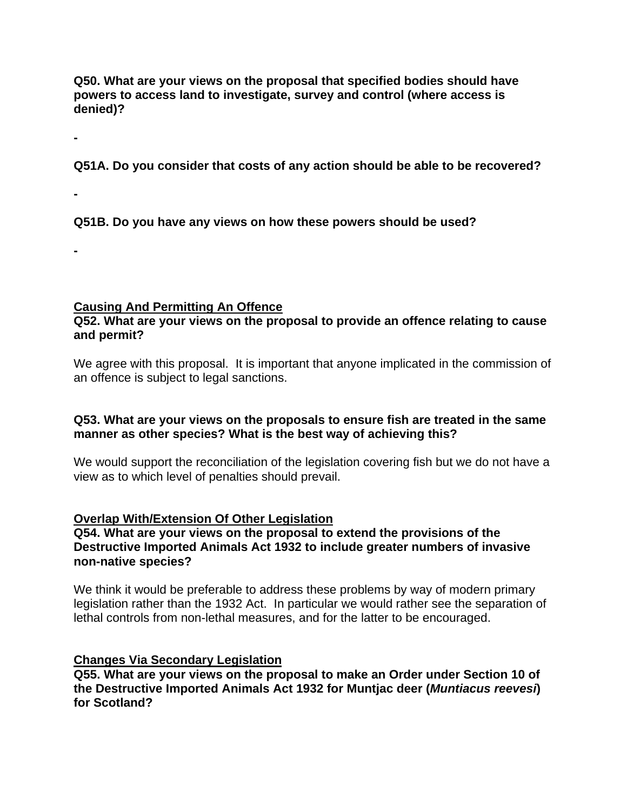**Q50. What are your views on the proposal that specified bodies should have powers to access land to investigate, survey and control (where access is denied)?**

**-**

**Q51A. Do you consider that costs of any action should be able to be recovered?**

**-**

**-**

**Q51B. Do you have any views on how these powers should be used?**

# **Causing And Permitting An Offence**

# **Q52. What are your views on the proposal to provide an offence relating to cause and permit?**

We agree with this proposal. It is important that anyone implicated in the commission of an offence is subject to legal sanctions.

# **Q53. What are your views on the proposals to ensure fish are treated in the same manner as other species? What is the best way of achieving this?**

We would support the reconciliation of the legislation covering fish but we do not have a view as to which level of penalties should prevail.

# **Overlap With/Extension Of Other Legislation**

# **Q54. What are your views on the proposal to extend the provisions of the Destructive Imported Animals Act 1932 to include greater numbers of invasive non-native species?**

We think it would be preferable to address these problems by way of modern primary legislation rather than the 1932 Act. In particular we would rather see the separation of lethal controls from non-lethal measures, and for the latter to be encouraged.

# **Changes Via Secondary Legislation**

**Q55. What are your views on the proposal to make an Order under Section 10 of the Destructive Imported Animals Act 1932 for Muntjac deer (***Muntiacus reevesi***) for Scotland?**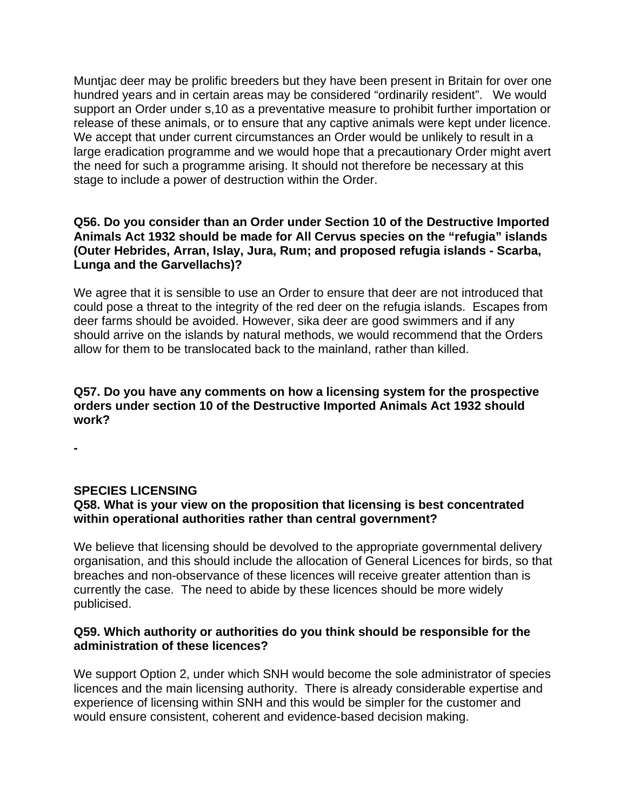Muntjac deer may be prolific breeders but they have been present in Britain for over one hundred years and in certain areas may be considered "ordinarily resident". We would support an Order under s,10 as a preventative measure to prohibit further importation or release of these animals, or to ensure that any captive animals were kept under licence. We accept that under current circumstances an Order would be unlikely to result in a large eradication programme and we would hope that a precautionary Order might avert the need for such a programme arising. It should not therefore be necessary at this stage to include a power of destruction within the Order.

# **Q56. Do you consider than an Order under Section 10 of the Destructive Imported Animals Act 1932 should be made for All Cervus species on the "refugia" islands (Outer Hebrides, Arran, Islay, Jura, Rum; and proposed refugia islands - Scarba, Lunga and the Garvellachs)?**

We agree that it is sensible to use an Order to ensure that deer are not introduced that could pose a threat to the integrity of the red deer on the refugia islands. Escapes from deer farms should be avoided. However, sika deer are good swimmers and if any should arrive on the islands by natural methods, we would recommend that the Orders allow for them to be translocated back to the mainland, rather than killed.

# **Q57. Do you have any comments on how a licensing system for the prospective orders under section 10 of the Destructive Imported Animals Act 1932 should work?**

**-**

# **SPECIES LICENSING**

# **Q58. What is your view on the proposition that licensing is best concentrated within operational authorities rather than central government?**

We believe that licensing should be devolved to the appropriate governmental delivery organisation, and this should include the allocation of General Licences for birds, so that breaches and non-observance of these licences will receive greater attention than is currently the case. The need to abide by these licences should be more widely publicised.

# **Q59. Which authority or authorities do you think should be responsible for the administration of these licences?**

We support Option 2, under which SNH would become the sole administrator of species licences and the main licensing authority. There is already considerable expertise and experience of licensing within SNH and this would be simpler for the customer and would ensure consistent, coherent and evidence-based decision making.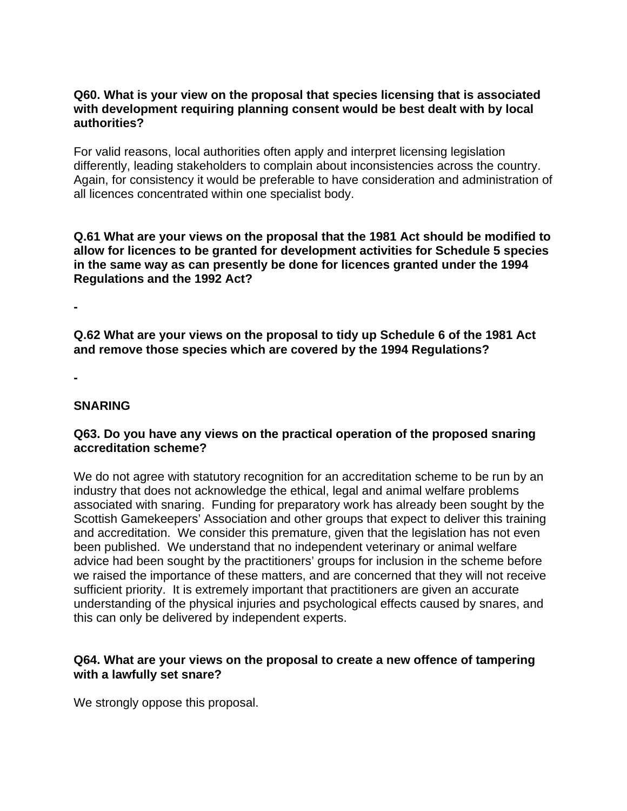# **Q60. What is your view on the proposal that species licensing that is associated with development requiring planning consent would be best dealt with by local authorities?**

For valid reasons, local authorities often apply and interpret licensing legislation differently, leading stakeholders to complain about inconsistencies across the country. Again, for consistency it would be preferable to have consideration and administration of all licences concentrated within one specialist body.

**Q.61 What are your views on the proposal that the 1981 Act should be modified to allow for licences to be granted for development activities for Schedule 5 species in the same way as can presently be done for licences granted under the 1994 Regulations and the 1992 Act?**

**-**

**Q.62 What are your views on the proposal to tidy up Schedule 6 of the 1981 Act and remove those species which are covered by the 1994 Regulations?**

**-**

# **SNARING**

# **Q63. Do you have any views on the practical operation of the proposed snaring accreditation scheme?**

We do not agree with statutory recognition for an accreditation scheme to be run by an industry that does not acknowledge the ethical, legal and animal welfare problems associated with snaring. Funding for preparatory work has already been sought by the Scottish Gamekeepers' Association and other groups that expect to deliver this training and accreditation. We consider this premature, given that the legislation has not even been published. We understand that no independent veterinary or animal welfare advice had been sought by the practitioners' groups for inclusion in the scheme before we raised the importance of these matters, and are concerned that they will not receive sufficient priority. It is extremely important that practitioners are given an accurate understanding of the physical injuries and psychological effects caused by snares, and this can only be delivered by independent experts.

# **Q64. What are your views on the proposal to create a new offence of tampering with a lawfully set snare?**

We strongly oppose this proposal.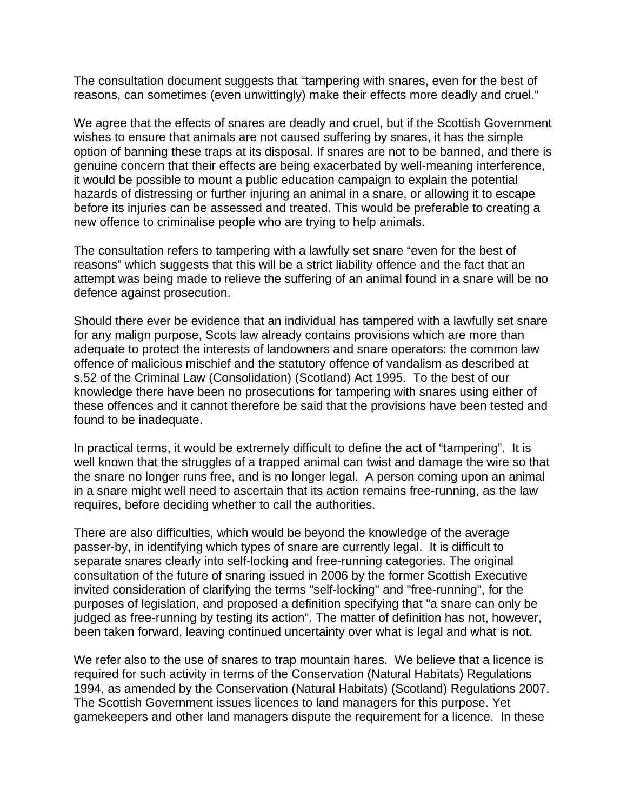The consultation document suggests that "tampering with snares, even for the best of reasons, can sometimes (even unwittingly) make their effects more deadly and cruel."

We agree that the effects of snares are deadly and cruel, but if the Scottish Government wishes to ensure that animals are not caused suffering by snares, it has the simple option of banning these traps at its disposal. If snares are not to be banned, and there is genuine concern that their effects are being exacerbated by well-meaning interference, it would be possible to mount a public education campaign to explain the potential hazards of distressing or further injuring an animal in a snare, or allowing it to escape before its injuries can be assessed and treated. This would be preferable to creating a new offence to criminalise people who are trying to help animals.

The consultation refers to tampering with a lawfully set snare "even for the best of reasons" which suggests that this will be a strict liability offence and the fact that an attempt was being made to relieve the suffering of an animal found in a snare will be no defence against prosecution.

Should there ever be evidence that an individual has tampered with a lawfully set snare for any malign purpose, Scots law already contains provisions which are more than adequate to protect the interests of landowners and snare operators: the common law offence of malicious mischief and the statutory offence of vandalism as described at s.52 of the Criminal Law (Consolidation) (Scotland) Act 1995. To the best of our knowledge there have been no prosecutions for tampering with snares using either of these offences and it cannot therefore be said that the provisions have been tested and found to be inadequate.

In practical terms, it would be extremely difficult to define the act of "tampering". It is well known that the struggles of a trapped animal can twist and damage the wire so that the snare no longer runs free, and is no longer legal. A person coming upon an animal in a snare might well need to ascertain that its action remains free-running, as the law requires, before deciding whether to call the authorities.

There are also difficulties, which would be beyond the knowledge of the average passer-by, in identifying which types of snare are currently legal. It is difficult to separate snares clearly into self-locking and free-running categories. The original consultation of the future of snaring issued in 2006 by the former Scottish Executive invited consideration of clarifying the terms "self-locking" and "free-running", for the purposes of legislation, and proposed a definition specifying that "a snare can only be judged as free-running by testing its action". The matter of definition has not, however, been taken forward, leaving continued uncertainty over what is legal and what is not.

We refer also to the use of snares to trap mountain hares. We believe that a licence is required for such activity in terms of the Conservation (Natural Habitats) Regulations 1994, as amended by the Conservation (Natural Habitats) (Scotland) Regulations 2007. The Scottish Government issues licences to land managers for this purpose. Yet gamekeepers and other land managers dispute the requirement for a licence. In these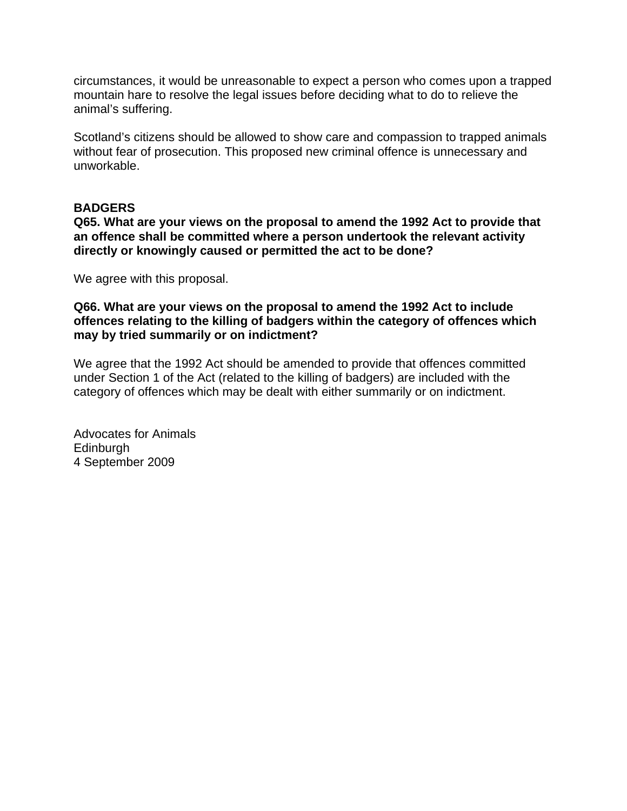circumstances, it would be unreasonable to expect a person who comes upon a trapped mountain hare to resolve the legal issues before deciding what to do to relieve the animal's suffering.

Scotland's citizens should be allowed to show care and compassion to trapped animals without fear of prosecution. This proposed new criminal offence is unnecessary and unworkable.

#### **BADGERS**

**Q65. What are your views on the proposal to amend the 1992 Act to provide that an offence shall be committed where a person undertook the relevant activity directly or knowingly caused or permitted the act to be done?**

We agree with this proposal.

**Q66. What are your views on the proposal to amend the 1992 Act to include offences relating to the killing of badgers within the category of offences which may by tried summarily or on indictment?**

We agree that the 1992 Act should be amended to provide that offences committed under Section 1 of the Act (related to the killing of badgers) are included with the category of offences which may be dealt with either summarily or on indictment.

Advocates for Animals **Edinburgh** 4 September 2009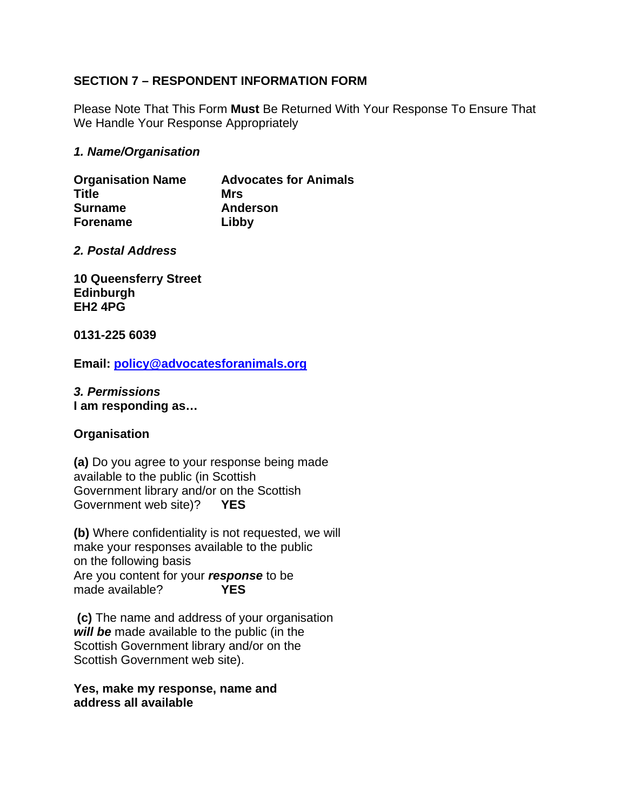# **SECTION 7 – RESPONDENT INFORMATION FORM**

Please Note That This Form **Must** Be Returned With Your Response To Ensure That We Handle Your Response Appropriately

### *1. Name/Organisation*

| <b>Organisation Name</b> | <b>Advocates for Animals</b> |
|--------------------------|------------------------------|
| Title                    | Mrs                          |
| <b>Surname</b>           | <b>Anderson</b>              |
| <b>Forename</b>          | Libby                        |

#### *2. Postal Address*

**10 Queensferry Street Edinburgh EH2 4PG**

#### **0131-225 6039**

**Email: [policy@advocatesforanimals.org](mailto:policy@advocatesforanimals.org)**

# *3. Permissions*

**I am responding as…**

# **Organisation**

**(a)** Do you agree to your response being made available to the public (in Scottish Government library and/or on the Scottish Government web site)? **YES**

**(b)** Where confidentiality is not requested, we will make your responses available to the public on the following basis Are you content for your *response* to be made available?

**(c)** The name and address of your organisation *will be* made available to the public (in the Scottish Government library and/or on the Scottish Government web site).

#### **Yes, make my response, name and address all available**